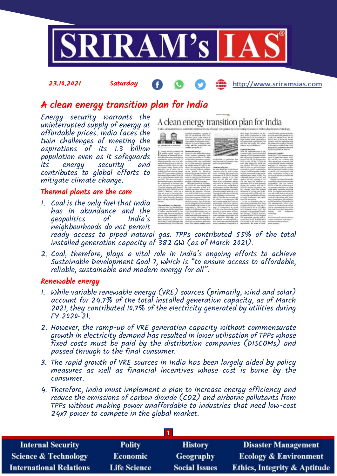

## A clean energy transition plan for India

Energy security warrants the uninterrupted supply of energy at affordable prices. India faces the twin challenges of meeting the aspirations of its 1.3 billion population even as it safeguards its energy security and contributes to global efforts to mitigate climate change.

23.10.2021 Saturday

#### Thermal plants are the core

1. Coal is the only fuel that India has in abundance and the geopolitics of India's neighbourhoods do not permit

A clean energy transition plan for India



http://www.sriramsias.com

ready access to piped natural gas. TPPs contributed 55% of the total installed generation capacity of 382 GW (as of March 2021).

2. Coal, therefore, plays a vital role in India's ongoing efforts to achieve Sustainable Development Goal 7, which is "to ensure access to affordable, reliable, sustainable and modern energy for all".

#### Renewable energy

- 1. While variable renewable energy (VRE) sources (primarily, wind and solar) account for 24.7% of the total installed generation capacity, as of March 2021, they contributed 10.7% of the electricity generated by utilities during FY 2020-21.
- 2. However, the ramp-up of VRE generation capacity without commensurate growth in electricity demand has resulted in lower utilisation of TPPs whose fixed costs must be paid by the distribution companies (DISCOMs) and passed through to the final consumer.
- 3. The rapid growth of VRE sources in India has been largely aided by policy measures as well as financial incentives whose cost is borne by the consumer.
- 4. Therefore, India must implement a plan to increase energy efficiency and reduce the emissions of carbon dioxide (CO2) and airborne pollutants from TPPs without making power unaffordable to industries that need low-cost 24x7 power to compete in the global market.

| <b>Internal Security</b>        | <b>Polity</b>       | <b>History</b>       | <b>Disaster Management</b>              |
|---------------------------------|---------------------|----------------------|-----------------------------------------|
| <b>Science &amp; Technology</b> | <b>Economic</b>     | <b>Geography</b>     | <b>Ecology &amp; Environment</b>        |
| <b>International Relations</b>  | <b>Life Science</b> | <b>Social Issues</b> | <b>Ethics, Integrity &amp; Aptitude</b> |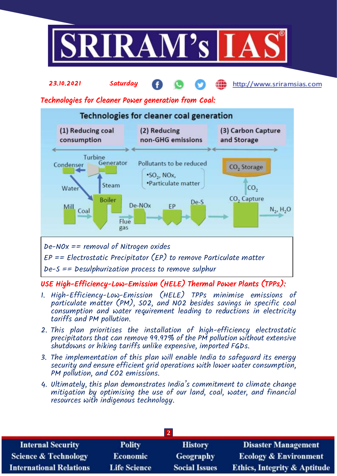

#### 23.10.2021 Saturday æ http://www.sriramsias.com

Technologies for Cleaner Power generation from Coal:



### USE High-Efficiency-Low-Emission (HELE) Thermal Power Plants (TPPs):

- 1. High-Efficiency-Low-Emission (HELE) TPPs minimise emissions of particulate matter (PM), SO2, and NO2 besides savings in specific coal consumption and water requirement leading to reductions in electricity tariffs and PM pollution.
- 2. This plan prioritises the installation of high-efficiency electrostatic precipitators that can remove 99.97% of the PM pollution without extensive shutdowns or hiking tariffs unlike expensive, imported FGDs.
- 3. The implementation of this plan will enable India to safeguard its energy security and ensure efficient grid operations with lower water consumption, PM pollution, and CO2 emissions.
- 4. Ultimately, this plan demonstrates India's commitment to climate change mitigation by optimising the use of our land, coal, water, and financial resources with indigenous technology.

| <b>Internal Security</b>        | <b>Polity</b>       | <b>History</b>       | <b>Disaster Management</b>              |
|---------------------------------|---------------------|----------------------|-----------------------------------------|
| <b>Science &amp; Technology</b> | <b>Economic</b>     | Geography            | <b>Ecology &amp; Environment</b>        |
| <b>International Relations</b>  | <b>Life Science</b> | <b>Social Issues</b> | <b>Ethics, Integrity &amp; Aptitude</b> |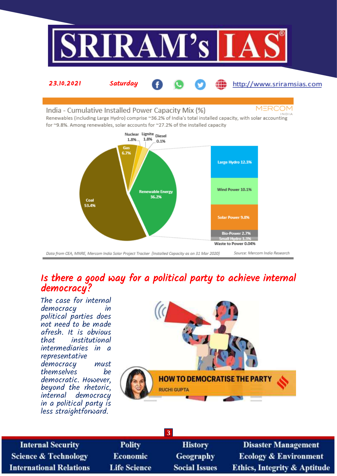

**MERCOM** India - Cumulative Installed Power Capacity Mix (%) Renewables (including Large Hydro) comprise ~36.2% of India's total installed capacity, with solar accounting for ~9.8%. Among renewables, solar accounts for ~27.2% of the installed capacity



### Is there a good way for a political party to achieve internal democracy?

The case for internal<br>democracu democracy political parties does not need to be made afresh. It is obvious institutional intermediaries in a representative democracy must themselves be democratic. However, beyond the rhetoric, internal democracy in a political party is less straightforward.



| 3 <sup>1</sup>                  |                     |                      |                                         |
|---------------------------------|---------------------|----------------------|-----------------------------------------|
| <b>Internal Security</b>        | <b>Polity</b>       | <b>History</b>       | <b>Disaster Management</b>              |
| <b>Science &amp; Technology</b> | <b>Economic</b>     | <b>Geography</b>     | <b>Ecology &amp; Environment</b>        |
| <b>International Relations</b>  | <b>Life Science</b> | <b>Social Issues</b> | <b>Ethics, Integrity &amp; Aptitude</b> |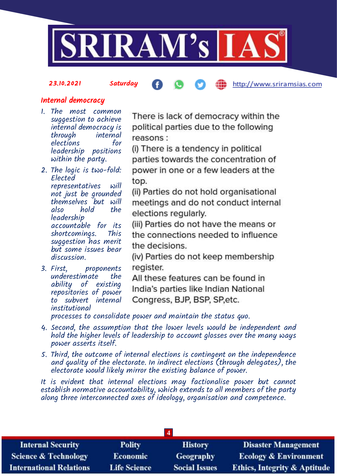

#### 23.10.2021 Saturday

http://www.sriramsias.com

### Internal democracy

- 1. The most common suggestion to achieve internal democracy is through internal<br>elections for elections leadership positions within the party.
- 2. The logic is two-fold: Elected representatives will not just be grounded themselves but will<br>also hold the hold leadership accountable for its shortcomings. This suggestion has merit but some issues bear discussion.
- 3. First, proponents underestimate the ability of existing repositories of power to subvert internal institutional

There is lack of democracy within the political parties due to the following reasons:

(i) There is a tendency in political parties towards the concentration of power in one or a few leaders at the top.

(ii) Parties do not hold organisational meetings and do not conduct internal elections regularly.

(iii) Parties do not have the means or the connections needed to influence the decisions.

(iv) Parties do not keep membership register.

All these features can be found in India's parties like Indian National Congress, BJP, BSP, SP, etc.

processes to consolidate power and maintain the status quo.

- 4. Second, the assumption that the lower levels would be independent and hold the higher levels of leadership to account glosses over the many ways power asserts itself.
- 5. Third, the outcome of internal elections is contingent on the independence and quality of the electorate. In indirect elections (through delegates), the electorate would likely mirror the existing balance of power.

It is evident that internal elections may factionalise power but cannot establish normative accountability, which extends to all members of the party along three interconnected axes of ideology, organisation and competence.

| <b>Internal Security</b>        | <b>Polity</b>       | <b>History</b>       | <b>Disaster Management</b>              |  |
|---------------------------------|---------------------|----------------------|-----------------------------------------|--|
| <b>Science &amp; Technology</b> | <b>Economic</b>     | Geography            | <b>Ecology &amp; Environment</b>        |  |
| <b>International Relations</b>  | <b>Life Science</b> | <b>Social Issues</b> | <b>Ethics, Integrity &amp; Aptitude</b> |  |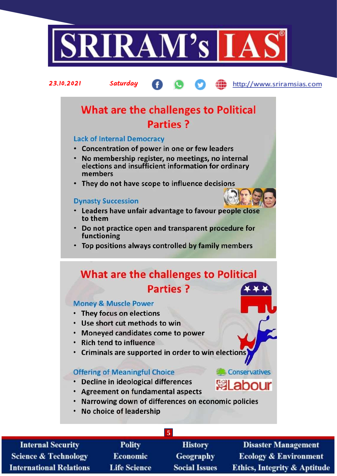

http://www.sriramsias.com

# What are the challenges to Political **Parties?**

#### **Lack of Internal Democracy**

Saturday

- Concentration of power in one or few leaders
- No membership register, no meetings, no internal elections and insufficient information for ordinary members
- They do not have scope to influence decisions

#### **Dynasty Succession**

23.10.2021

- Leaders have unfair advantage to favour people close to them
- Do not practice open and transparent procedure for functioning
- Top positions always controlled by family members

## **What are the challenges to Political Parties?**

#### **Money & Muscle Power**

- They focus on elections
- Use short cut methods to win
- . Moneved candidates come to power
- Rich tend to influence
- Criminals are supported in order to win elections

#### **Offering of Meaningful Choice**

- Decline in ideological differences
- Agreement on fundamental aspects
- Narrowing down of differences on economic policies

Conservatives

**是Labour** 

• No choice of leadership

| <b>Internal Security</b>        | <b>Polity</b>       | <b>History</b>       | <b>Disaster Management</b>              |
|---------------------------------|---------------------|----------------------|-----------------------------------------|
| <b>Science &amp; Technology</b> | <b>Economic</b>     | <b>Geography</b>     | <b>Ecology &amp; Environment</b>        |
| <b>International Relations</b>  | <b>Life Science</b> | <b>Social Issues</b> | <b>Ethics, Integrity &amp; Aptitude</b> |

 $\overline{\mathbf{5}}$